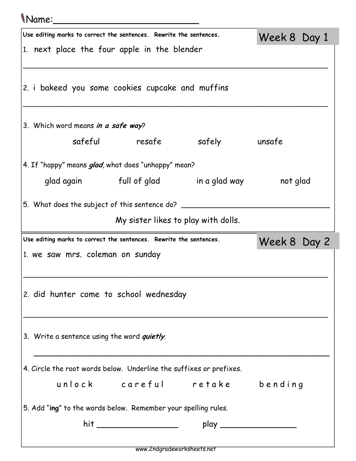## Name:\_\_\_\_\_\_\_\_\_\_\_\_\_\_\_\_\_\_\_\_\_\_\_\_\_

| u vand                                                              |                                     |                                                |              |
|---------------------------------------------------------------------|-------------------------------------|------------------------------------------------|--------------|
| Use editing marks to correct the sentences. Rewrite the sentences.  |                                     |                                                | Week 8 Day 1 |
| 1. next place the four apple in the blender                         |                                     |                                                |              |
|                                                                     |                                     |                                                |              |
| 2. i bakeed you some cookies cupcake and muffins                    |                                     |                                                |              |
|                                                                     |                                     |                                                |              |
|                                                                     |                                     |                                                |              |
| 3. Which word means in a safe way?                                  |                                     |                                                |              |
|                                                                     |                                     | safeful resafe safely unsafe                   |              |
| 4. If "happy" means glad, what does "unhappy" mean?                 |                                     |                                                |              |
|                                                                     |                                     | glad again full of glad in a glad way not glad |              |
| 5. What does the subject of this sentence do? ______                |                                     |                                                |              |
|                                                                     | My sister likes to play with dolls. |                                                |              |
|                                                                     |                                     |                                                |              |
| Use editing marks to correct the sentences. Rewrite the sentences.  |                                     |                                                | Week 8 Day 2 |
| 1. we saw mrs. coleman on sunday                                    |                                     |                                                |              |
|                                                                     |                                     |                                                |              |
| 2. did hunter come to school wednesday                              |                                     |                                                |              |
|                                                                     |                                     |                                                |              |
|                                                                     |                                     |                                                |              |
| 3. Write a sentence using the word <i>quietly</i> .                 |                                     |                                                |              |
|                                                                     |                                     |                                                |              |
| 4. Circle the root words below. Underline the suffixes or prefixes. |                                     |                                                |              |
|                                                                     |                                     | unlock careful retake bending                  |              |
|                                                                     |                                     |                                                |              |
| 5. Add "ing" to the words below. Remember your spelling rules.      |                                     |                                                |              |
|                                                                     |                                     |                                                |              |

 $\overline{\phantom{a}}$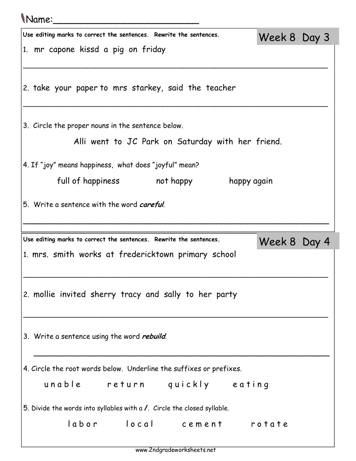| <i>Name:</i>                                                             |              |  |
|--------------------------------------------------------------------------|--------------|--|
| Use editing marks to correct the sentences. Rewrite the sentences.       | Week 8 Day 3 |  |
| 1. mr capone kissd a pig on friday                                       |              |  |
| 2. take your paper to mrs starkey, said the teacher                      |              |  |
| 3. Circle the proper nouns in the sentence below.                        |              |  |
| Alli went to JC Park on Saturday with her friend.                        |              |  |
| 4. If "joy" means happiness, what does "joyful" mean?                    |              |  |
| full of happiness hot happy<br>happy again                               |              |  |
| 5. Write a sentence with the word <i>careful</i> .                       |              |  |
|                                                                          |              |  |
| Use editing marks to correct the sentences. Rewrite the sentences.       |              |  |
| 1. mrs. smith works at fredericktown primary school                      | Week 8 Day 4 |  |
| 2. mollie invited sherry tracy and sally to her party                    |              |  |
| 3. Write a sentence using the word <i>rebuild</i> .                      |              |  |
| 4. Circle the root words below. Underline the suffixes or prefixes.      |              |  |
| unable return quickly eating                                             |              |  |
| 5. Divide the words into syllables with a /. Circle the closed syllable. |              |  |